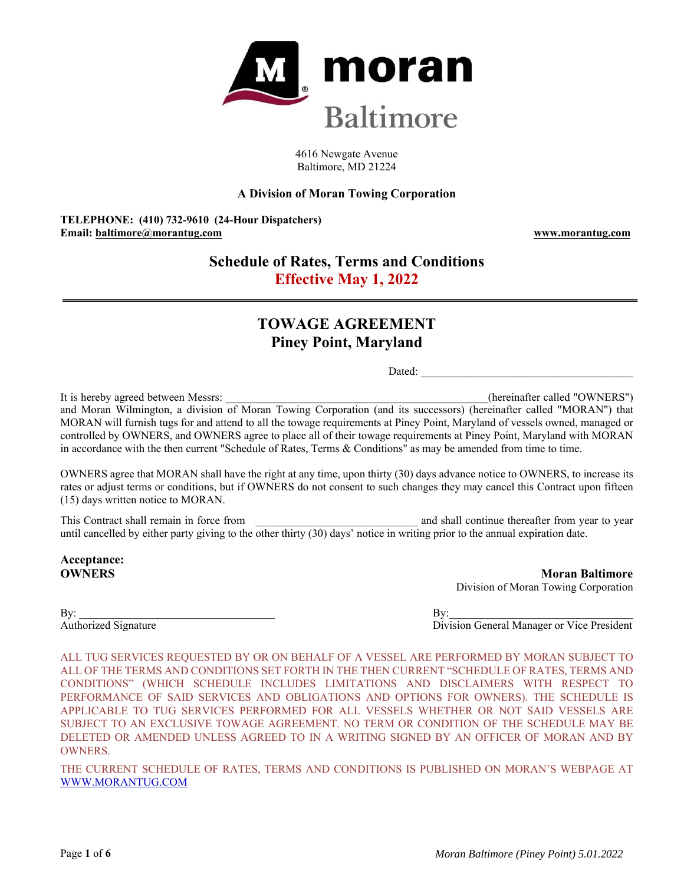

4616 Newgate Avenue Baltimore, MD 21224

# **A Division of Moran Towing Corporation**

**TELEPHONE: (410) 732-9610 (24-Hour Dispatchers) Email: baltimore@morantug.com www.morantug.com** 

# **Schedule of Rates, Terms and Conditions Effective May 1, 2022**

# **TOWAGE AGREEMENT Piney Point, Maryland**

Dated:

It is hereby agreed between Messrs: **Example 2008** (hereinafter called "OWNERS") and Moran Wilmington, a division of Moran Towing Corporation (and its successors) (hereinafter called "MORAN") that MORAN will furnish tugs for and attend to all the towage requirements at Piney Point, Maryland of vessels owned, managed or controlled by OWNERS, and OWNERS agree to place all of their towage requirements at Piney Point, Maryland with MORAN in accordance with the then current "Schedule of Rates, Terms & Conditions" as may be amended from time to time.

OWNERS agree that MORAN shall have the right at any time, upon thirty (30) days advance notice to OWNERS, to increase its rates or adjust terms or conditions, but if OWNERS do not consent to such changes they may cancel this Contract upon fifteen (15) days written notice to MORAN.

This Contract shall remain in force from  $\Box$  and shall continue thereafter from year to year until cancelled by either party giving to the other thirty (30) days' notice in writing prior to the annual expiration date.

**Acceptance:** 

**OWNERS** Moran Baltimore Division of Moran Towing Corporation

 $\mathbf{B} \mathbf{y}$ : Authorized Signature **Division General Manager or Vice President** 

ALL TUG SERVICES REQUESTED BY OR ON BEHALF OF A VESSEL ARE PERFORMED BY MORAN SUBJECT TO ALL OF THE TERMS AND CONDITIONS SET FORTH IN THE THEN CURRENT "SCHEDULE OF RATES, TERMS AND CONDITIONS" (WHICH SCHEDULE INCLUDES LIMITATIONS AND DISCLAIMERS WITH RESPECT TO PERFORMANCE OF SAID SERVICES AND OBLIGATIONS AND OPTIONS FOR OWNERS). THE SCHEDULE IS APPLICABLE TO TUG SERVICES PERFORMED FOR ALL VESSELS WHETHER OR NOT SAID VESSELS ARE SUBJECT TO AN EXCLUSIVE TOWAGE AGREEMENT. NO TERM OR CONDITION OF THE SCHEDULE MAY BE DELETED OR AMENDED UNLESS AGREED TO IN A WRITING SIGNED BY AN OFFICER OF MORAN AND BY OWNERS.

THE CURRENT SCHEDULE OF RATES, TERMS AND CONDITIONS IS PUBLISHED ON MORAN'S WEBPAGE AT WWW.MORANTUG.COM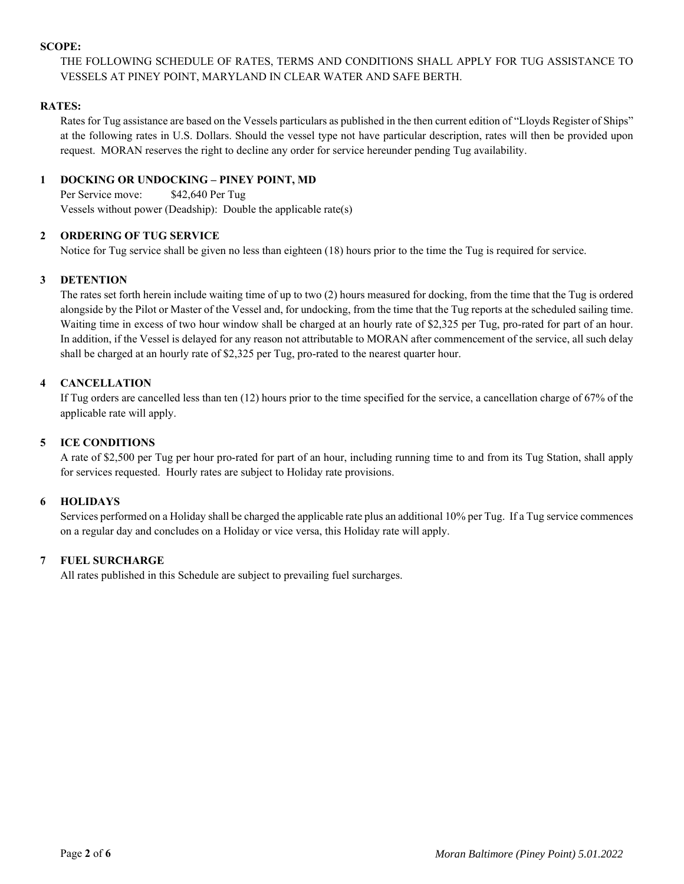#### **SCOPE:**

THE FOLLOWING SCHEDULE OF RATES, TERMS AND CONDITIONS SHALL APPLY FOR TUG ASSISTANCE TO VESSELS AT PINEY POINT, MARYLAND IN CLEAR WATER AND SAFE BERTH.

# **RATES:**

Rates for Tug assistance are based on the Vessels particulars as published in the then current edition of "Lloyds Register of Ships" at the following rates in U.S. Dollars. Should the vessel type not have particular description, rates will then be provided upon request. MORAN reserves the right to decline any order for service hereunder pending Tug availability.

# **1 DOCKING OR UNDOCKING – PINEY POINT, MD**

Per Service move: \$42,640 Per Tug Vessels without power (Deadship): Double the applicable rate(s)

# **2 ORDERING OF TUG SERVICE**

Notice for Tug service shall be given no less than eighteen (18) hours prior to the time the Tug is required for service.

# **3 DETENTION**

The rates set forth herein include waiting time of up to two (2) hours measured for docking, from the time that the Tug is ordered alongside by the Pilot or Master of the Vessel and, for undocking, from the time that the Tug reports at the scheduled sailing time. Waiting time in excess of two hour window shall be charged at an hourly rate of \$2,325 per Tug, pro-rated for part of an hour. In addition, if the Vessel is delayed for any reason not attributable to MORAN after commencement of the service, all such delay shall be charged at an hourly rate of \$2,325 per Tug, pro-rated to the nearest quarter hour.

# **4 CANCELLATION**

If Tug orders are cancelled less than ten (12) hours prior to the time specified for the service, a cancellation charge of 67% of the applicable rate will apply.

# **5 ICE CONDITIONS**

A rate of \$2,500 per Tug per hour pro-rated for part of an hour, including running time to and from its Tug Station, shall apply for services requested. Hourly rates are subject to Holiday rate provisions.

#### **6 HOLIDAYS**

Services performed on a Holiday shall be charged the applicable rate plus an additional 10% per Tug. If a Tug service commences on a regular day and concludes on a Holiday or vice versa, this Holiday rate will apply.

# **7 FUEL SURCHARGE**

All rates published in this Schedule are subject to prevailing fuel surcharges.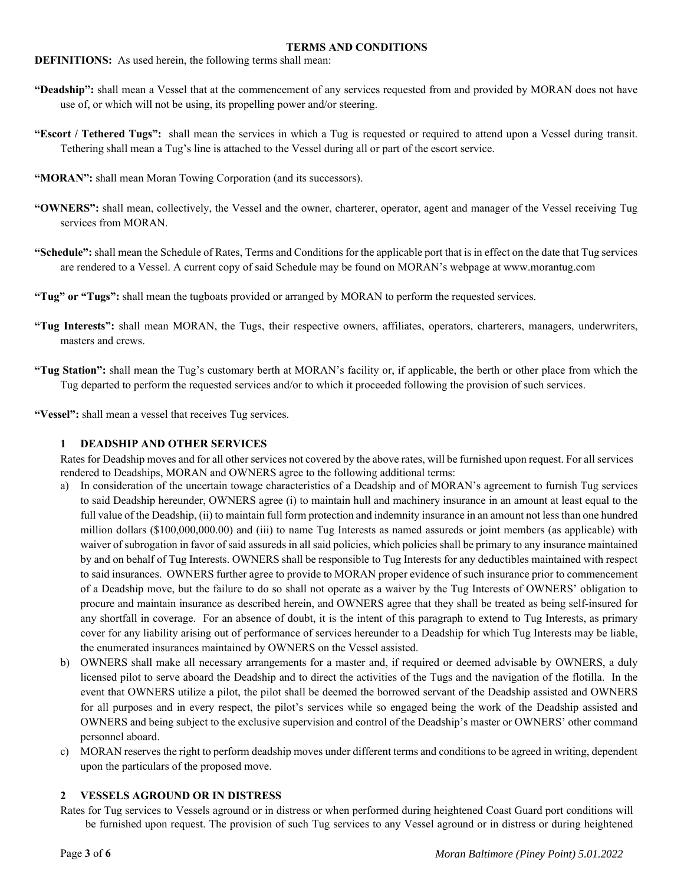#### **TERMS AND CONDITIONS**

**DEFINITIONS:** As used herein, the following terms shall mean:

- **"Deadship":** shall mean a Vessel that at the commencement of any services requested from and provided by MORAN does not have use of, or which will not be using, its propelling power and/or steering.
- **"Escort / Tethered Tugs":** shall mean the services in which a Tug is requested or required to attend upon a Vessel during transit. Tethering shall mean a Tug's line is attached to the Vessel during all or part of the escort service.
- "MORAN": shall mean Moran Towing Corporation (and its successors).
- **"OWNERS":** shall mean, collectively, the Vessel and the owner, charterer, operator, agent and manager of the Vessel receiving Tug services from MORAN.
- **"Schedule":** shall mean the Schedule of Rates, Terms and Conditions for the applicable port that is in effect on the date that Tug services are rendered to a Vessel. A current copy of said Schedule may be found on MORAN's webpage at www.morantug.com
- **"Tug" or "Tugs":** shall mean the tugboats provided or arranged by MORAN to perform the requested services.
- **"Tug Interests":** shall mean MORAN, the Tugs, their respective owners, affiliates, operators, charterers, managers, underwriters, masters and crews.
- **"Tug Station":** shall mean the Tug's customary berth at MORAN's facility or, if applicable, the berth or other place from which the Tug departed to perform the requested services and/or to which it proceeded following the provision of such services.

**"Vessel":** shall mean a vessel that receives Tug services.

#### **1 DEADSHIP AND OTHER SERVICES**

Rates for Deadship moves and for all other services not covered by the above rates, will be furnished upon request. For all services rendered to Deadships, MORAN and OWNERS agree to the following additional terms:

- a) In consideration of the uncertain towage characteristics of a Deadship and of MORAN's agreement to furnish Tug services to said Deadship hereunder, OWNERS agree (i) to maintain hull and machinery insurance in an amount at least equal to the full value of the Deadship, (ii) to maintain full form protection and indemnity insurance in an amount not less than one hundred million dollars (\$100,000,000.00) and (iii) to name Tug Interests as named assureds or joint members (as applicable) with waiver of subrogation in favor of said assureds in all said policies, which policies shall be primary to any insurance maintained by and on behalf of Tug Interests. OWNERS shall be responsible to Tug Interests for any deductibles maintained with respect to said insurances. OWNERS further agree to provide to MORAN proper evidence of such insurance prior to commencement of a Deadship move, but the failure to do so shall not operate as a waiver by the Tug Interests of OWNERS' obligation to procure and maintain insurance as described herein, and OWNERS agree that they shall be treated as being self-insured for any shortfall in coverage. For an absence of doubt, it is the intent of this paragraph to extend to Tug Interests, as primary cover for any liability arising out of performance of services hereunder to a Deadship for which Tug Interests may be liable, the enumerated insurances maintained by OWNERS on the Vessel assisted.
- b) OWNERS shall make all necessary arrangements for a master and, if required or deemed advisable by OWNERS, a duly licensed pilot to serve aboard the Deadship and to direct the activities of the Tugs and the navigation of the flotilla. In the event that OWNERS utilize a pilot, the pilot shall be deemed the borrowed servant of the Deadship assisted and OWNERS for all purposes and in every respect, the pilot's services while so engaged being the work of the Deadship assisted and OWNERS and being subject to the exclusive supervision and control of the Deadship's master or OWNERS' other command personnel aboard.
- c) MORAN reserves the right to perform deadship moves under different terms and conditions to be agreed in writing, dependent upon the particulars of the proposed move.

#### **2 VESSELS AGROUND OR IN DISTRESS**

Rates for Tug services to Vessels aground or in distress or when performed during heightened Coast Guard port conditions will be furnished upon request. The provision of such Tug services to any Vessel aground or in distress or during heightened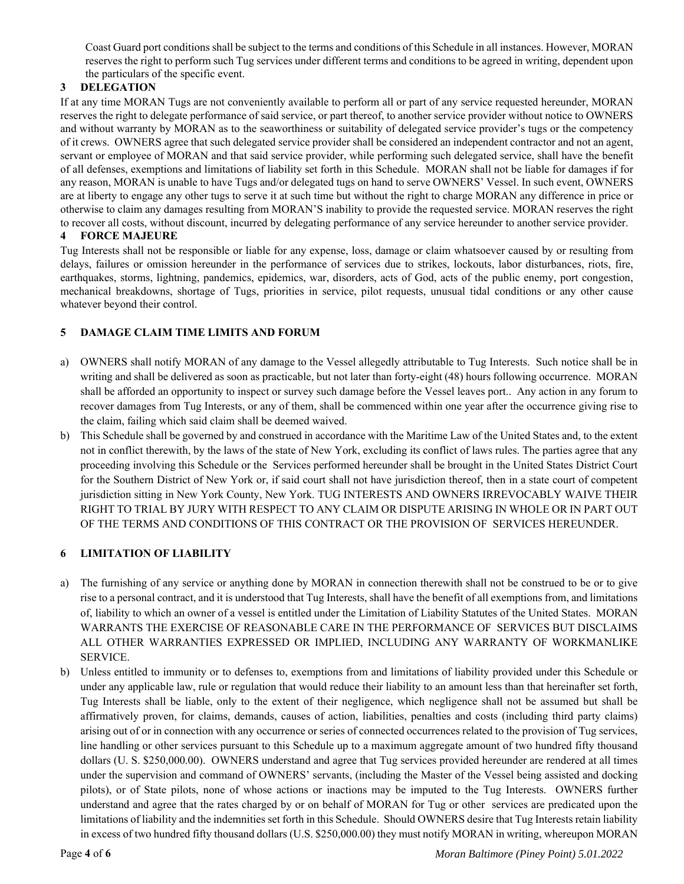Coast Guard port conditions shall be subject to the terms and conditions of this Schedule in all instances. However, MORAN reserves the right to perform such Tug services under different terms and conditions to be agreed in writing, dependent upon the particulars of the specific event.

# **3 DELEGATION**

If at any time MORAN Tugs are not conveniently available to perform all or part of any service requested hereunder, MORAN reserves the right to delegate performance of said service, or part thereof, to another service provider without notice to OWNERS and without warranty by MORAN as to the seaworthiness or suitability of delegated service provider's tugs or the competency of it crews. OWNERS agree that such delegated service provider shall be considered an independent contractor and not an agent, servant or employee of MORAN and that said service provider, while performing such delegated service, shall have the benefit of all defenses, exemptions and limitations of liability set forth in this Schedule. MORAN shall not be liable for damages if for any reason, MORAN is unable to have Tugs and/or delegated tugs on hand to serve OWNERS' Vessel. In such event, OWNERS are at liberty to engage any other tugs to serve it at such time but without the right to charge MORAN any difference in price or otherwise to claim any damages resulting from MORAN'S inability to provide the requested service. MORAN reserves the right to recover all costs, without discount, incurred by delegating performance of any service hereunder to another service provider. **4 FORCE MAJEURE** 

# Tug Interests shall not be responsible or liable for any expense, loss, damage or claim whatsoever caused by or resulting from delays, failures or omission hereunder in the performance of services due to strikes, lockouts, labor disturbances, riots, fire, earthquakes, storms, lightning, pandemics, epidemics, war, disorders, acts of God, acts of the public enemy, port congestion, mechanical breakdowns, shortage of Tugs, priorities in service, pilot requests, unusual tidal conditions or any other cause whatever beyond their control.

# **5 DAMAGE CLAIM TIME LIMITS AND FORUM**

- a) OWNERS shall notify MORAN of any damage to the Vessel allegedly attributable to Tug Interests. Such notice shall be in writing and shall be delivered as soon as practicable, but not later than forty-eight (48) hours following occurrence. MORAN shall be afforded an opportunity to inspect or survey such damage before the Vessel leaves port.. Any action in any forum to recover damages from Tug Interests, or any of them, shall be commenced within one year after the occurrence giving rise to the claim, failing which said claim shall be deemed waived.
- b) This Schedule shall be governed by and construed in accordance with the Maritime Law of the United States and, to the extent not in conflict therewith, by the laws of the state of New York, excluding its conflict of laws rules. The parties agree that any proceeding involving this Schedule or the Services performed hereunder shall be brought in the United States District Court for the Southern District of New York or, if said court shall not have jurisdiction thereof, then in a state court of competent jurisdiction sitting in New York County, New York. TUG INTERESTS AND OWNERS IRREVOCABLY WAIVE THEIR RIGHT TO TRIAL BY JURY WITH RESPECT TO ANY CLAIM OR DISPUTE ARISING IN WHOLE OR IN PART OUT OF THE TERMS AND CONDITIONS OF THIS CONTRACT OR THE PROVISION OF SERVICES HEREUNDER.

#### **6 LIMITATION OF LIABILITY**

- a) The furnishing of any service or anything done by MORAN in connection therewith shall not be construed to be or to give rise to a personal contract, and it is understood that Tug Interests, shall have the benefit of all exemptions from, and limitations of, liability to which an owner of a vessel is entitled under the Limitation of Liability Statutes of the United States. MORAN WARRANTS THE EXERCISE OF REASONABLE CARE IN THE PERFORMANCE OF SERVICES BUT DISCLAIMS ALL OTHER WARRANTIES EXPRESSED OR IMPLIED, INCLUDING ANY WARRANTY OF WORKMANLIKE SERVICE.
- b) Unless entitled to immunity or to defenses to, exemptions from and limitations of liability provided under this Schedule or under any applicable law, rule or regulation that would reduce their liability to an amount less than that hereinafter set forth, Tug Interests shall be liable, only to the extent of their negligence, which negligence shall not be assumed but shall be affirmatively proven, for claims, demands, causes of action, liabilities, penalties and costs (including third party claims) arising out of or in connection with any occurrence or series of connected occurrences related to the provision of Tug services, line handling or other services pursuant to this Schedule up to a maximum aggregate amount of two hundred fifty thousand dollars (U. S. \$250,000.00). OWNERS understand and agree that Tug services provided hereunder are rendered at all times under the supervision and command of OWNERS' servants, (including the Master of the Vessel being assisted and docking pilots), or of State pilots, none of whose actions or inactions may be imputed to the Tug Interests. OWNERS further understand and agree that the rates charged by or on behalf of MORAN for Tug or other services are predicated upon the limitations of liability and the indemnities set forth in this Schedule. Should OWNERS desire that Tug Interests retain liability in excess of two hundred fifty thousand dollars (U.S. \$250,000.00) they must notify MORAN in writing, whereupon MORAN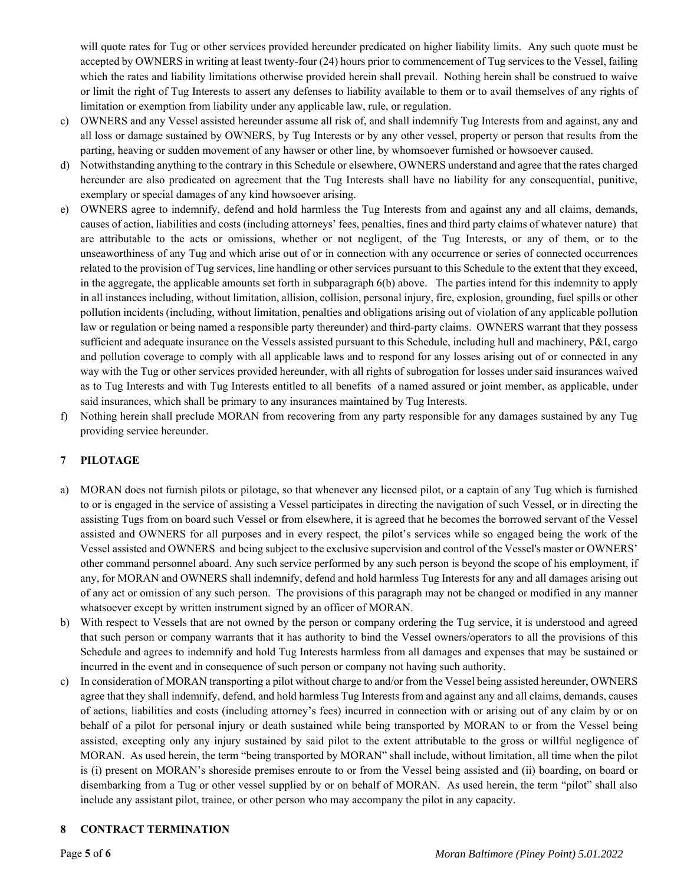will quote rates for Tug or other services provided hereunder predicated on higher liability limits. Any such quote must be accepted by OWNERS in writing at least twenty-four (24) hours prior to commencement of Tug services to the Vessel, failing which the rates and liability limitations otherwise provided herein shall prevail. Nothing herein shall be construed to waive or limit the right of Tug Interests to assert any defenses to liability available to them or to avail themselves of any rights of limitation or exemption from liability under any applicable law, rule, or regulation.

- c) OWNERS and any Vessel assisted hereunder assume all risk of, and shall indemnify Tug Interests from and against, any and all loss or damage sustained by OWNERS, by Tug Interests or by any other vessel, property or person that results from the parting, heaving or sudden movement of any hawser or other line, by whomsoever furnished or howsoever caused.
- d) Notwithstanding anything to the contrary in this Schedule or elsewhere, OWNERS understand and agree that the rates charged hereunder are also predicated on agreement that the Tug Interests shall have no liability for any consequential, punitive, exemplary or special damages of any kind howsoever arising.
- e) OWNERS agree to indemnify, defend and hold harmless the Tug Interests from and against any and all claims, demands, causes of action, liabilities and costs (including attorneys' fees, penalties, fines and third party claims of whatever nature) that are attributable to the acts or omissions, whether or not negligent, of the Tug Interests, or any of them, or to the unseaworthiness of any Tug and which arise out of or in connection with any occurrence or series of connected occurrences related to the provision of Tug services, line handling or other services pursuant to this Schedule to the extent that they exceed, in the aggregate, the applicable amounts set forth in subparagraph 6(b) above. The parties intend for this indemnity to apply in all instances including, without limitation, allision, collision, personal injury, fire, explosion, grounding, fuel spills or other pollution incidents (including, without limitation, penalties and obligations arising out of violation of any applicable pollution law or regulation or being named a responsible party thereunder) and third-party claims. OWNERS warrant that they possess sufficient and adequate insurance on the Vessels assisted pursuant to this Schedule, including hull and machinery, P&I, cargo and pollution coverage to comply with all applicable laws and to respond for any losses arising out of or connected in any way with the Tug or other services provided hereunder, with all rights of subrogation for losses under said insurances waived as to Tug Interests and with Tug Interests entitled to all benefits of a named assured or joint member, as applicable, under said insurances, which shall be primary to any insurances maintained by Tug Interests.
- f) Nothing herein shall preclude MORAN from recovering from any party responsible for any damages sustained by any Tug providing service hereunder.

# **7 PILOTAGE**

- a) MORAN does not furnish pilots or pilotage, so that whenever any licensed pilot, or a captain of any Tug which is furnished to or is engaged in the service of assisting a Vessel participates in directing the navigation of such Vessel, or in directing the assisting Tugs from on board such Vessel or from elsewhere, it is agreed that he becomes the borrowed servant of the Vessel assisted and OWNERS for all purposes and in every respect, the pilot's services while so engaged being the work of the Vessel assisted and OWNERS and being subject to the exclusive supervision and control of the Vessel's master or OWNERS' other command personnel aboard. Any such service performed by any such person is beyond the scope of his employment, if any, for MORAN and OWNERS shall indemnify, defend and hold harmless Tug Interests for any and all damages arising out of any act or omission of any such person. The provisions of this paragraph may not be changed or modified in any manner whatsoever except by written instrument signed by an officer of MORAN.
- b) With respect to Vessels that are not owned by the person or company ordering the Tug service, it is understood and agreed that such person or company warrants that it has authority to bind the Vessel owners/operators to all the provisions of this Schedule and agrees to indemnify and hold Tug Interests harmless from all damages and expenses that may be sustained or incurred in the event and in consequence of such person or company not having such authority.
- c) In consideration of MORAN transporting a pilot without charge to and/or from the Vessel being assisted hereunder, OWNERS agree that they shall indemnify, defend, and hold harmless Tug Interests from and against any and all claims, demands, causes of actions, liabilities and costs (including attorney's fees) incurred in connection with or arising out of any claim by or on behalf of a pilot for personal injury or death sustained while being transported by MORAN to or from the Vessel being assisted, excepting only any injury sustained by said pilot to the extent attributable to the gross or willful negligence of MORAN. As used herein, the term "being transported by MORAN" shall include, without limitation, all time when the pilot is (i) present on MORAN's shoreside premises enroute to or from the Vessel being assisted and (ii) boarding, on board or disembarking from a Tug or other vessel supplied by or on behalf of MORAN. As used herein, the term "pilot" shall also include any assistant pilot, trainee, or other person who may accompany the pilot in any capacity.

#### **8 CONTRACT TERMINATION**